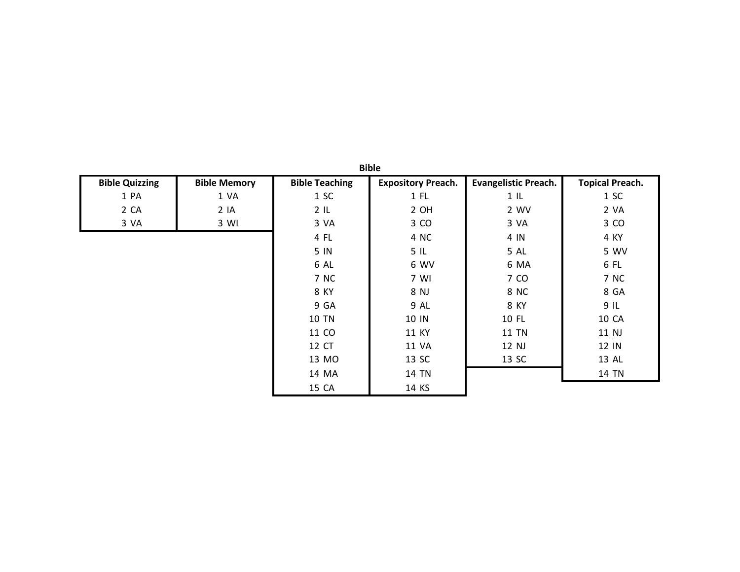| <b>Bible Quizzing</b> | <b>Bible Memory</b> | <b>Bible Teaching</b> | <b>Expository Preach.</b> | <b>Evangelistic Preach.</b> | <b>Topical Preach.</b> |
|-----------------------|---------------------|-----------------------|---------------------------|-----------------------------|------------------------|
| 1 PA                  | 1 VA                | 1 SC                  | $1$ FL                    | $1 \,$ IL                   | 1 S C                  |
| 2 CA                  | 2 IA                | 2IL                   | 2 OH                      | 2 WV                        | 2 VA                   |
| 3 VA                  | 3 WI                | 3 VA                  | 3 CO                      | 3 VA                        | 3 CO                   |
|                       |                     | 4 FL                  | 4 NC                      | 4 IN                        | 4 KY                   |
|                       |                     | 5 IN                  | 5IL                       | 5 AL                        | 5 WV                   |
|                       |                     | 6 AL                  | 6 WV                      | 6 MA                        | 6 FL                   |
|                       |                     | 7 NC                  | 7 WI                      | 7 CO                        | 7 NC                   |
|                       |                     | 8 KY                  | 8 NJ                      | 8 NC                        | 8 GA                   |
|                       |                     | 9 GA                  | 9 AL                      | 8 KY                        | 9IL                    |
|                       |                     | <b>10 TN</b>          | 10 IN                     | 10 FL                       | <b>10 CA</b>           |
|                       |                     | 11 CO                 | 11 KY                     | <b>11 TN</b>                | 11 NJ                  |
|                       |                     | 12 CT                 | 11 VA                     | 12 NJ                       | 12 IN                  |
|                       |                     | 13 MO                 | 13 SC                     | 13 SC                       | 13 AL                  |
|                       |                     | 14 MA                 | 14 TN                     |                             | <b>14 TN</b>           |
|                       |                     | 15 CA                 | 14 KS                     |                             |                        |

**Bible**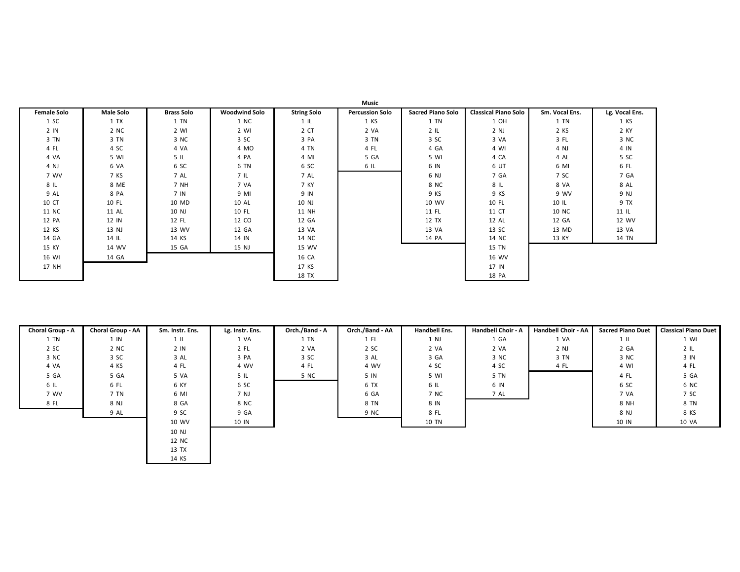| <b>Female Solo</b> | <b>Male Solo</b> | <b>Brass Solo</b> | <b>Woodwind Solo</b> | <b>String Solo</b> | <b>Percussion Solo</b> | <b>Sacred Piano Solo</b> | <b>Classical Piano Solo</b> | Sm. Vocal Ens. | Lg. Vocal Ens. |
|--------------------|------------------|-------------------|----------------------|--------------------|------------------------|--------------------------|-----------------------------|----------------|----------------|
| 1 SC               | 1 TX             | 1 TN              | 1 NC                 | $1 \,$ IL          | 1 KS                   | 1 TN                     | 1 OH                        | 1 TN           | 1 KS           |
| 2 IN               | 2 NC             | 2 WI              | 2 WI                 | 2 CT               | 2 VA                   | 2IL                      | 2 NJ                        | 2 KS           | 2 KY           |
| 3 TN               | 3 TN             | 3 NC              | 3 SC                 | 3 PA               | 3 TN                   | 3 SC                     | 3 VA                        | 3 FL           | 3 NC           |
| 4 FL               | 4 SC             | 4 VA              | 4 MO                 | 4 TN               | 4 FL                   | 4 GA                     | 4 WI                        | 4 NJ           | 4 IN           |
| 4 VA               | 5 WI             | 5IL               | 4 PA                 | 4 MI               | 5 GA                   | 5 WI                     | 4 CA                        | 4 AL           | 5 SC           |
| 4 NJ               | 6 VA             | 6 SC              | 6 TN                 | 6 SC               | 6 IL                   | 6 IN                     | 6 UT                        | 6 MI           | 6 FL           |
| 7 WV               | 7 KS             | 7 AL              | 7 IL                 | 7 AL               |                        | 6 NJ                     | 7 GA                        | 7 SC           | 7 GA           |
| 8 IL               | 8 ME             | 7 NH              | 7 VA                 | 7 KY               |                        | 8 NC                     | 8 IL                        | 8 VA           | 8 AL           |
| 9 AL               | 8 PA             | 7 IN              | 9 MI                 | 9 IN               |                        | 9 KS                     | 9 KS                        | 9 WV           | 9 NJ           |
| 10 CT              | 10 FL            | 10 MD             | 10 AL                | 10 NJ              |                        | 10 WV                    | 10 FL                       | 10 IL          | 9 TX           |
| 11 NC              | 11 AL            | 10 NJ             | 10 FL                | 11 NH              |                        | 11 FL                    | 11 CT                       | 10 NC          | $11$ IL        |
| 12 PA              | 12 IN            | 12 FL             | 12 CO                | 12 GA              |                        | 12 TX                    | 12 AL                       | 12 GA          | 12 WV          |
| 12 KS              | 13 NJ            | 13 WV             | 12 GA                | 13 VA              |                        | 13 VA                    | 13 SC                       | 13 MD          | 13 VA          |
| 14 GA              | 14 IL            | 14 KS             | 14 IN                | 14 NC              |                        | 14 PA                    | 14 NC                       | 13 KY          | 14 TN          |
| 15 KY              | 14 WV            | 15 GA             | 15 NJ                | 15 WV              |                        |                          | 15 TN                       |                |                |
| 16 WI              | 14 GA            |                   |                      | 16 CA              |                        |                          | 16 WV                       |                |                |
| 17 NH              |                  |                   |                      | 17 KS              |                        |                          | 17 IN                       |                |                |
|                    |                  |                   |                      | 18 TX              |                        |                          | 18 PA                       |                |                |

| Choral Group - A | Choral Group - AA | Sm. Instr. Ens. | Lg. Instr. Ens. | Orch./Band - A | Orch./Band - AA | <b>Handbell Ens.</b> | <b>Handbell Choir - A</b> | Handbell Choir - AA | <b>Sacred Piano Duet</b> | <b>Classical Piano Duet</b> |
|------------------|-------------------|-----------------|-----------------|----------------|-----------------|----------------------|---------------------------|---------------------|--------------------------|-----------------------------|
| 1 TN             | $1 \,$ IN         | $1 \,$ IL       | 1 VA            | 1 TN           | 1 FL            | 1 NJ                 | 1 GA                      | 1 VA                | 1 IL                     | 1 WI                        |
| 2 SC             | 2 NC              | 2 IN            | 2 FL            | 2 VA           | 2 SC            | 2 VA                 | 2 VA                      | 2 NJ                | 2 GA                     | 2IL                         |
| 3 NC             | 3 SC              | 3 AL            | 3 PA            | 3 SC           | 3 AL            | 3 GA                 | 3 NC                      | 3 TN                | 3 NC                     | 3 IN                        |
| 4 VA             | 4 KS              | 4 FL            | 4 WV            | 4 FL           | 4 WV            | 4 SC                 | 4 SC                      | 4 FL                | 4 WI                     | 4 FL                        |
| 5 GA             | 5 GA              | 5 VA            | 5 IL            | 5 NC           | 5 IN            | 5 WI                 | 5 TN                      |                     | 4 FL                     | 5 GA                        |
| 6 IL             | 6 FL              | 6 KY            | 6 SC            |                | 6 TX            | 6 IL                 | 6 IN                      |                     | 6 SC                     | 6 NC                        |
| 7 WV             | 7 TN              | 6 MI            | 7 NJ            |                | 6 GA            | 7 NC                 | 7 AL                      |                     | 7 VA                     | 7 SC                        |
| 8 FL             | 8 NJ              | 8 GA            | 8 NC            |                | 8 TN            | 8 IN                 |                           |                     | 8 NH                     | 8 TN                        |
|                  | 9 AL              | 9 SC            | 9 GA            |                | 9 NC            | 8 FL                 |                           |                     | 8 NJ                     | 8 KS                        |
|                  |                   | 10 WV           | 10 IN           |                |                 | 10 TN                |                           |                     | 10 IN                    | 10 VA                       |
|                  |                   | 10 NJ           |                 |                |                 |                      |                           |                     |                          |                             |
|                  |                   | 12 NC           |                 |                |                 |                      |                           |                     |                          |                             |
|                  |                   | 13 TX           |                 |                |                 |                      |                           |                     |                          |                             |
|                  |                   | 14 KS           |                 |                |                 |                      |                           |                     |                          |                             |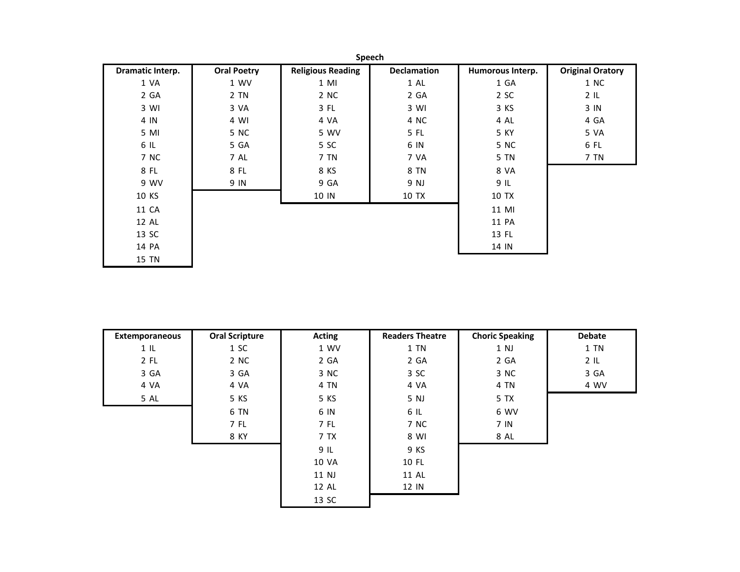|                  | Speech             |                          |                    |                  |                         |  |  |  |  |  |  |
|------------------|--------------------|--------------------------|--------------------|------------------|-------------------------|--|--|--|--|--|--|
| Dramatic Interp. | <b>Oral Poetry</b> | <b>Religious Reading</b> | <b>Declamation</b> | Humorous Interp. | <b>Original Oratory</b> |  |  |  |  |  |  |
| 1 VA             | 1 WV               | $1$ MI                   | 1 AL               | 1 GA             | 1 NC                    |  |  |  |  |  |  |
| 2 GA             | 2 TN               | 2 NC                     | 2 GA               | 2 SC             | $2 \, \text{IL}$        |  |  |  |  |  |  |
| 3 WI             | 3 VA               | 3 FL                     | 3 WI               | 3 KS             | 3 IN                    |  |  |  |  |  |  |
| 4 IN             | 4 WI               | 4 VA                     | 4 NC               | 4 AL             | 4 GA                    |  |  |  |  |  |  |
| 5 MI             | 5 NC               | 5 WV                     | 5 FL               | 5 KY             | 5 VA                    |  |  |  |  |  |  |
| 6 IL             | 5 GA               | 5 SC                     | 6 IN               | 5 NC             | 6 FL                    |  |  |  |  |  |  |
| 7 NC             | 7 AL               | 7 TN                     | 7 VA               | 5 TN             | 7 TN                    |  |  |  |  |  |  |
| 8 FL             | 8 FL               | 8 KS                     | 8 TN               | 8 VA             |                         |  |  |  |  |  |  |
| 9 WV             | 9 IN               | 9 GA                     | 9 NJ               | 9 IL             |                         |  |  |  |  |  |  |
| 10 KS            |                    | 10 IN                    | 10 TX              | 10 TX            |                         |  |  |  |  |  |  |
| 11 CA            |                    |                          |                    | 11 MI            |                         |  |  |  |  |  |  |
| 12 AL            |                    |                          |                    | 11 PA            |                         |  |  |  |  |  |  |
| 13 SC            |                    |                          |                    | 13 FL            |                         |  |  |  |  |  |  |
| 14 PA            |                    |                          |                    | 14 IN            |                         |  |  |  |  |  |  |
| 15 TN            |                    |                          |                    |                  |                         |  |  |  |  |  |  |

| Extemporaneous | <b>Oral Scripture</b> | Acting | <b>Readers Theatre</b> | <b>Choric Speaking</b> | <b>Debate</b> |
|----------------|-----------------------|--------|------------------------|------------------------|---------------|
| $1 \,$ IL      | 1 SC                  | 1 WV   | 1 TN                   | 1 NJ                   | $1$ TN        |
| 2 FL           | 2 NC                  | 2 GA   | 2 GA                   | 2 GA                   | 2IL           |
| 3 GA           | 3 GA                  | 3 NC   | 3 SC                   | 3 NC                   | 3 GA          |
| 4 VA           | 4 VA                  | 4 TN   | 4 VA                   | 4 TN                   | 4 WV          |
| 5 AL           | 5 KS                  | 5 KS   | 5 NJ                   | 5 TX                   |               |
|                | 6 TN                  | 6 IN   | 6 IL                   | 6 WV                   |               |
|                | 7 FL                  | 7 FL   | 7 NC                   | 7 IN                   |               |
|                | 8 KY                  | 7 TX   | 8 WI                   | 8 AL                   |               |
|                |                       | 9 IL   | 9 KS                   |                        |               |
|                |                       | 10 VA  | 10 FL                  |                        |               |
|                |                       | 11 NJ  | 11 AL                  |                        |               |
|                |                       | 12 AL  | 12 IN                  |                        |               |
|                |                       | 13 SC  |                        |                        |               |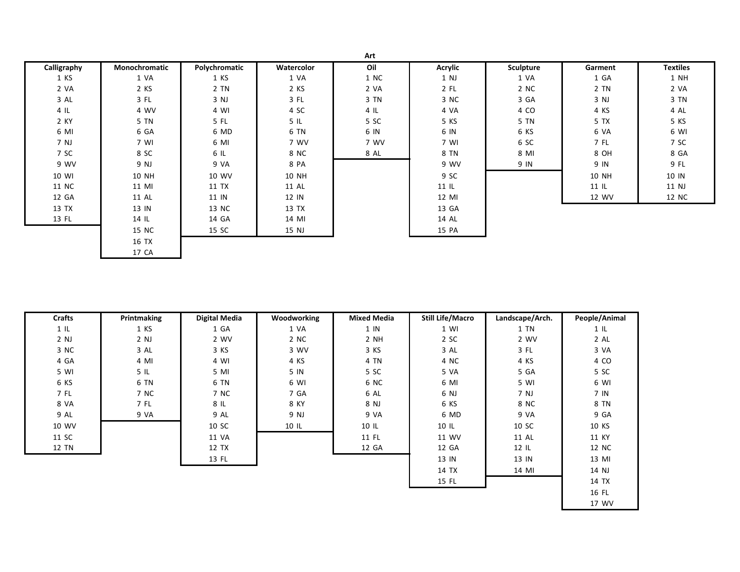|             |               |               |            | Art    |                |                  |         |                 |
|-------------|---------------|---------------|------------|--------|----------------|------------------|---------|-----------------|
| Calligraphy | Monochromatic | Polychromatic | Watercolor | Oil    | <b>Acrylic</b> | <b>Sculpture</b> | Garment | <b>Textiles</b> |
| 1 KS        | 1 VA          | 1 KS          | 1 VA       | 1 NC   | 1 NJ           | 1 VA             | 1 GA    | 1 NH            |
| 2 VA        | 2 KS          | 2 TN          | 2 KS       | 2 VA   | $2$ FL         | 2 NC             | 2 TN    | 2 VA            |
| 3 AL        | 3 FL          | 3 NJ          | 3 FL       | 3 TN   | 3 NC           | 3 GA             | 3 NJ    | 3 TN            |
| $4 \,$ IL   | 4 WV          | 4 WI          | 4 SC       | $4$ IL | 4 VA           | 4 CO             | 4 KS    | 4 AL            |
| 2 KY        | 5 TN          | 5 FL          | 5IL        | 5 SC   | 5 KS           | 5 TN             | 5 TX    | 5 KS            |
| 6 MI        | 6 GA          | 6 MD          | 6 TN       | 6 IN   | 6 IN           | 6 KS             | 6 VA    | 6 WI            |
| 7 NJ        | 7 WI          | 6 MI          | 7 WV       | 7 WV   | 7 WI           | 6 SC             | 7 FL    | 7 SC            |
| 7 SC        | 8 SC          | 6 IL          | 8 NC       | 8 AL   | 8 TN           | 8 MI             | 8 OH    | 8 GA            |
| 9 WV        | 9 NJ          | 9 VA          | 8 PA       |        | 9 WV           | 9 IN             | 9 IN    | 9 FL            |
| 10 WI       | 10 NH         | 10 WV         | 10 NH      |        | 9 SC           |                  | 10 NH   | 10 IN           |
| 11 NC       | 11 MI         | 11 TX         | 11 AL      |        | $11$ IL        |                  | $11$ IL | 11 NJ           |
| 12 GA       | 11 AL         | 11 IN         | 12 IN      |        | 12 MI          |                  | 12 WV   | 12 NC           |
| 13 TX       | 13 IN         | 13 NC         | 13 TX      |        | 13 GA          |                  |         |                 |
| 13 FL       | 14 IL         | 14 GA         | 14 MI      |        | 14 AL          |                  |         |                 |
|             | 15 NC         | 15 SC         | 15 NJ      |        | 15 PA          |                  |         |                 |
|             | 16 TX         |               |            |        |                |                  |         |                 |
|             | 17 CA         |               |            |        |                |                  |         |                 |

| <b>Crafts</b> | Printmaking | Digital Media | Woodworking | <b>Mixed Media</b> | <b>Still Life/Macro</b> | Landscape/Arch. | People/Animal   |
|---------------|-------------|---------------|-------------|--------------------|-------------------------|-----------------|-----------------|
| $1$ IL        | 1 KS        | 1 GA          | 1 VA        | $1 \,$ IN          | 1 WI                    | 1 TN            | $1 \,$ IL       |
| $2$ NJ        | $2$ NJ      | 2 WV          | 2 NC        | 2 NH               | 2 SC                    | 2 WV            | 2 AL            |
| 3 NC          | 3 AL        | 3 KS          | 3 WV        | 3 KS               | 3 AL                    | 3 FL            | 3 VA            |
| 4 GA          | 4 MI        | 4 WI          | 4 KS        | 4 TN               | 4 NC                    | 4 KS            | 4 CO            |
| 5 WI          | 5 IL        | 5 MI          | 5 IN        | 5 SC               | 5 VA                    | 5 GA            | 5 SC            |
| 6 KS          | 6 TN        | 6 TN          | 6 WI        | 6 NC               | 6 MI                    | 5 WI            | 6 WI            |
| 7 FL          | 7 NC        | 7 NC          | 7 GA        | 6 AL               | 6 NJ                    | 7 NJ            | 7 <sub>IN</sub> |
| 8 VA          | 7 FL        | 8 IL          | 8 KY        | 8 NJ               | 6 KS                    | 8 NC            | 8 TN            |
| 9 AL          | 9 VA        | 9 AL          | 9 NJ        | 9 VA               | 6 MD                    | 9 VA            | 9 GA            |
| 10 WV         |             | 10 SC         | 10 IL       | $10$ IL            | 10 IL                   | 10 SC           | 10 KS           |
| 11 SC         |             | 11 VA         |             | 11 FL              | 11 WV                   | 11 AL           | 11 KY           |
| 12 TN         |             | 12 TX         |             | 12 GA              | 12 GA                   | $12$ IL         | 12 NC           |
|               |             | 13 FL         |             |                    | 13 IN                   | 13 IN           | 13 MI           |
|               |             |               |             |                    | 14 TX                   | 14 MI           | 14 NJ           |
|               |             |               |             |                    | 15 FL                   |                 | 14 TX           |

 FL WV